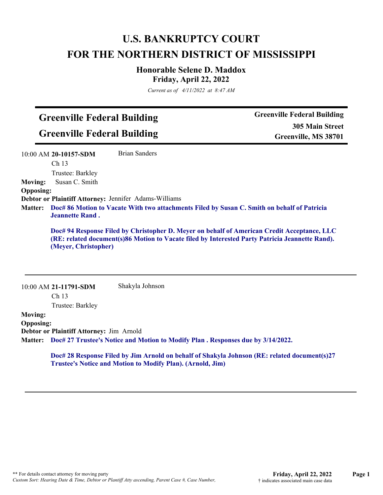# **U.S. BANKRUPTCY COURT FOR THE NORTHERN DISTRICT OF MISSISSIPPI**

### **Honorable Selene D. Maddox Friday, April 22, 2022**

*Current as of 4/11/2022 at 8:47 AM*

## **Greenville Federal Building Greenville Federal Building**

**Greenville Federal Building 305 Main Street Greenville, MS 38701**

|                  | 10:00 AM 20-10157-SDM                                                                                                 | <b>Brian Sanders</b>                                                                                                                                                                           |
|------------------|-----------------------------------------------------------------------------------------------------------------------|------------------------------------------------------------------------------------------------------------------------------------------------------------------------------------------------|
|                  | Ch <sub>13</sub>                                                                                                      |                                                                                                                                                                                                |
|                  | Trustee: Barkley                                                                                                      |                                                                                                                                                                                                |
| <b>Moving:</b>   | Susan C. Smith                                                                                                        |                                                                                                                                                                                                |
| <b>Opposing:</b> |                                                                                                                       |                                                                                                                                                                                                |
|                  |                                                                                                                       | Debtor or Plaintiff Attorney: Jennifer Adams-Williams                                                                                                                                          |
| <b>Matter:</b>   | Doc# 86 Motion to Vacate With two attachments Filed by Susan C. Smith on behalf of Patricia<br><b>Jeannette Rand.</b> |                                                                                                                                                                                                |
|                  | (Meyer, Christopher)                                                                                                  | Doc# 94 Response Filed by Christopher D. Meyer on behalf of American Credit Acceptance, LLC<br>(RE: related document(s)86 Motion to Vacate filed by Interested Party Patricia Jeannette Rand). |
|                  | 10:00 AM 21-11791-SDM                                                                                                 | Shakyla Johnson                                                                                                                                                                                |
|                  | Ch <sub>13</sub>                                                                                                      |                                                                                                                                                                                                |
| <b>Moving:</b>   | Trustee: Barkley                                                                                                      |                                                                                                                                                                                                |
|                  |                                                                                                                       |                                                                                                                                                                                                |

**Opposing: Debtor or Plaintiff Attorney:** Jim Arnold **Doc# 27 Trustee's Notice and Motion to Modify Plan . Responses due by 3/14/2022. Matter:**

> **Doc# 28 Response Filed by Jim Arnold on behalf of Shakyla Johnson (RE: related document(s)27 Trustee's Notice and Motion to Modify Plan). (Arnold, Jim)**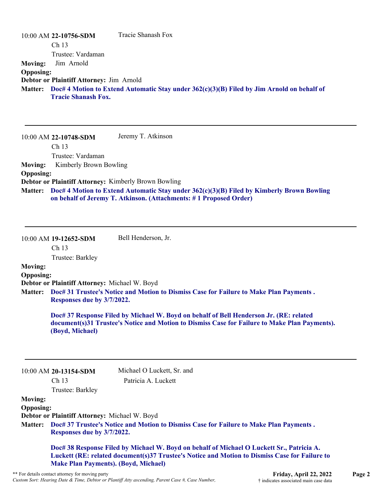|                  | $10:00$ AM 22-10756-SDM                                                                            | Tracie Shanash Fox |
|------------------|----------------------------------------------------------------------------------------------------|--------------------|
|                  | Ch <sub>13</sub>                                                                                   |                    |
|                  | Trustee: Vardaman                                                                                  |                    |
| <b>Moving:</b>   | Jim Arnold                                                                                         |                    |
| <b>Opposing:</b> |                                                                                                    |                    |
|                  | Debtor or Plaintiff Attorney: Jim Arnold                                                           |                    |
|                  | Matter: Doc# 4 Motion to Extend Automatic Stay under 362(c)(3)(B) Filed by Jim Arnold on behalf of |                    |
|                  | <b>Tracie Shanash Fox.</b>                                                                         |                    |
|                  |                                                                                                    |                    |

|                  | 10:00 AM 22-10748-SDM                                       | Jeremy T. Atkinson                                                                                                                                                     |
|------------------|-------------------------------------------------------------|------------------------------------------------------------------------------------------------------------------------------------------------------------------------|
|                  | Ch <sub>13</sub>                                            |                                                                                                                                                                        |
|                  | Trustee: Vardaman                                           |                                                                                                                                                                        |
| Moving:          | Kimberly Brown Bowling                                      |                                                                                                                                                                        |
| <b>Opposing:</b> |                                                             |                                                                                                                                                                        |
|                  | <b>Debtor or Plaintiff Attorney: Kimberly Brown Bowling</b> |                                                                                                                                                                        |
|                  |                                                             | Matter: Doc# 4 Motion to Extend Automatic Stay under 362(c)(3)(B) Filed by Kimberly Brown Bowling<br>on behalf of Jeremy T. Atkinson. (Attachments: #1 Proposed Order) |

Ch 13

Trustee: Barkley

10:00 AM **19-12652-SDM** 

## **Moving:**

**Opposing: Debtor or Plaintiff Attorney:** Michael W. Boyd

**Doc# 31 Trustee's Notice and Motion to Dismiss Case for Failure to Make Plan Payments . Matter: Responses due by 3/7/2022.**

Bell Henderson, Jr.

**Doc# 37 Response Filed by Michael W. Boyd on behalf of Bell Henderson Jr. (RE: related document(s)31 Trustee's Notice and Motion to Dismiss Case for Failure to Make Plan Payments). (Boyd, Michael)**

10:00 AM **20-13154-SDM**  Ch 13

Michael O Luckett, Sr. and Patricia A. Luckett

Trustee: Barkley

**Moving:**

**Opposing: Debtor or Plaintiff Attorney:** Michael W. Boyd

**Doc# 37 Trustee's Notice and Motion to Dismiss Case for Failure to Make Plan Payments . Matter: Responses due by 3/7/2022.**

**Doc# 38 Response Filed by Michael W. Boyd on behalf of Michael O Luckett Sr., Patricia A. Luckett (RE: related document(s)37 Trustee's Notice and Motion to Dismiss Case for Failure to Make Plan Payments). (Boyd, Michael)**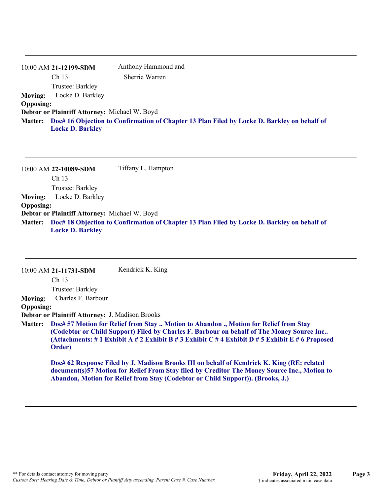|                  | 10:00 AM 21-12199-SDM                                                                       | Anthony Hammond and |
|------------------|---------------------------------------------------------------------------------------------|---------------------|
|                  | Ch <sub>13</sub>                                                                            | Sherrie Warren      |
|                  | Trustee: Barkley                                                                            |                     |
| <b>Moving:</b>   | Locke D. Barkley                                                                            |                     |
| <b>Opposing:</b> |                                                                                             |                     |
|                  | Debtor or Plaintiff Attorney: Michael W. Boyd                                               |                     |
| <b>Matter:</b>   | Doc# 16 Objection to Confirmation of Chapter 13 Plan Filed by Locke D. Barkley on behalf of |                     |
|                  | <b>Locke D. Barkley</b>                                                                     |                     |
|                  |                                                                                             |                     |

10:00 AM **22-10089-SDM**  Ch 13 Trustee: Barkley Tiffany L. Hampton **Moving:** Locke D. Barkley **Opposing: Debtor or Plaintiff Attorney:** Michael W. Boyd **Doc# 18 Objection to Confirmation of Chapter 13 Plan Filed by Locke D. Barkley on behalf of Matter: Locke D. Barkley**

|                  | 10:00 AM 21-11731-SDM                                  | Kendrick K. King                                                                                                                                                                                                                                                                                 |
|------------------|--------------------------------------------------------|--------------------------------------------------------------------------------------------------------------------------------------------------------------------------------------------------------------------------------------------------------------------------------------------------|
|                  | Ch <sub>13</sub>                                       |                                                                                                                                                                                                                                                                                                  |
|                  | Trustee: Barkley                                       |                                                                                                                                                                                                                                                                                                  |
| <b>Moving:</b>   | Charles F. Barbour                                     |                                                                                                                                                                                                                                                                                                  |
| <b>Opposing:</b> |                                                        |                                                                                                                                                                                                                                                                                                  |
|                  | <b>Debtor or Plaintiff Attorney: J. Madison Brooks</b> |                                                                                                                                                                                                                                                                                                  |
|                  | Order)                                                 | Matter: Doc# 57 Motion for Relief from Stay ., Motion to Abandon ., Motion for Relief from Stay<br>(Codebtor or Child Support) Filed by Charles F. Barbour on behalf of The Money Source Inc<br>(Attachments: # 1 Exhibit A # 2 Exhibit B # 3 Exhibit C # 4 Exhibit D # 5 Exhibit E # 6 Proposed |
|                  |                                                        | Doc# 62 Response Filed by J. Madison Brooks III on behalf of Kendrick K. King (RE: related                                                                                                                                                                                                       |

**Doc# 62 Response Filed by J. Madison Brooks III on behalf of Kendrick K. King (RE: related document(s)57 Motion for Relief From Stay filed by Creditor The Money Source Inc., Motion to Abandon, Motion for Relief from Stay (Codebtor or Child Support)). (Brooks, J.)**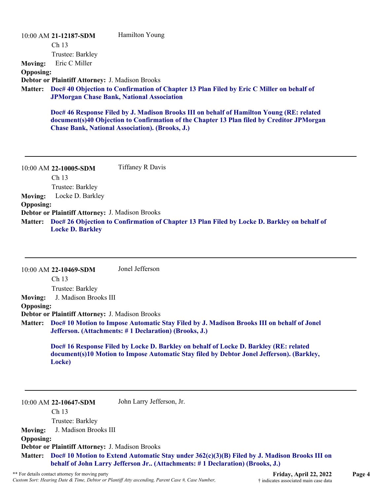|                  | 10:00 AM 21-12187-SDM                                  | Hamilton Young                                                                                                                                                                                                                                  |
|------------------|--------------------------------------------------------|-------------------------------------------------------------------------------------------------------------------------------------------------------------------------------------------------------------------------------------------------|
|                  | Ch <sub>13</sub>                                       |                                                                                                                                                                                                                                                 |
|                  | Trustee: Barkley                                       |                                                                                                                                                                                                                                                 |
| <b>Moving:</b>   | Eric C Miller                                          |                                                                                                                                                                                                                                                 |
| <b>Opposing:</b> |                                                        |                                                                                                                                                                                                                                                 |
|                  | <b>Debtor or Plaintiff Attorney: J. Madison Brooks</b> |                                                                                                                                                                                                                                                 |
| <b>Matter:</b>   |                                                        | Doc# 40 Objection to Confirmation of Chapter 13 Plan Filed by Eric C Miller on behalf of<br><b>JPMorgan Chase Bank, National Association</b>                                                                                                    |
|                  |                                                        | Doc# 46 Response Filed by J. Madison Brooks III on behalf of Hamilton Young (RE: related<br>document(s)40 Objection to Confirmation of the Chapter 13 Plan filed by Creditor JPMorgan<br><b>Chase Bank, National Association). (Brooks, J.)</b> |

10:00 AM **22-10005-SDM**  Ch 13 Trustee: Barkley Tiffaney R Davis **Moving:** Locke D. Barkley **Opposing: Debtor or Plaintiff Attorney:** J. Madison Brooks **Doc# 26 Objection to Confirmation of Chapter 13 Plan Filed by Locke D. Barkley on behalf of Matter: Locke D. Barkley**

|                  | 10:00 AM 22-10469-SDM                                  | Jonel Jefferson                                                                                                                                                                    |
|------------------|--------------------------------------------------------|------------------------------------------------------------------------------------------------------------------------------------------------------------------------------------|
|                  | Ch <sub>13</sub>                                       |                                                                                                                                                                                    |
|                  | Trustee: Barkley                                       |                                                                                                                                                                                    |
| <b>Moving:</b>   | J. Madison Brooks III                                  |                                                                                                                                                                                    |
| <b>Opposing:</b> |                                                        |                                                                                                                                                                                    |
|                  | <b>Debtor or Plaintiff Attorney: J. Madison Brooks</b> |                                                                                                                                                                                    |
| <b>Matter:</b>   |                                                        | Doc# 10 Motion to Impose Automatic Stay Filed by J. Madison Brooks III on behalf of Jonel<br>Jefferson. (Attachments: #1 Declaration) (Brooks, J.)                                 |
|                  | Locke)                                                 | Doc# 16 Response Filed by Locke D. Barkley on behalf of Locke D. Barkley (RE: related<br>document(s)10 Motion to Impose Automatic Stay filed by Debtor Jonel Jefferson). (Barkley, |
|                  | 10:00 AM 22-10647-SDM<br>Ch 13                         | John Larry Jefferson, Jr.                                                                                                                                                          |
|                  | Trustee: Barkley                                       |                                                                                                                                                                                    |
|                  | J. Madison Brooks III                                  |                                                                                                                                                                                    |
| <b>Moving:</b>   |                                                        |                                                                                                                                                                                    |
| <b>Opposing:</b> | <b>Debtor or Plaintiff Attorney: J. Madison Brooks</b> |                                                                                                                                                                                    |
|                  |                                                        |                                                                                                                                                                                    |
| <b>Matter:</b>   |                                                        | Doc# 10 Motion to Extend Automatic Stay under 362(c)(3)(B) Filed by J. Madison Brooks III on<br>behalf of John Larry Jefferson Jr (Attachments: #1 Declaration) (Brooks, J.)       |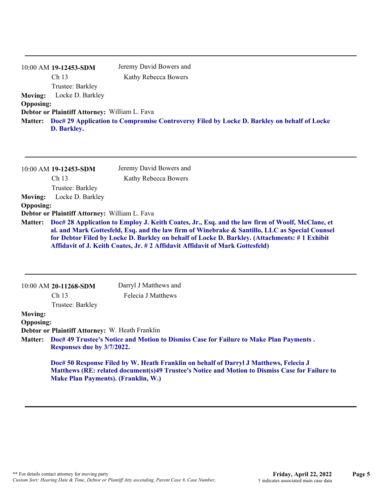|                  | 10:00 AM 19-12453-SDM                                                                              | Jeremy David Bowers and |  |
|------------------|----------------------------------------------------------------------------------------------------|-------------------------|--|
|                  | Ch <sub>13</sub>                                                                                   | Kathy Rebecca Bowers    |  |
|                  | Trustee: Barkley                                                                                   |                         |  |
| <b>Moving:</b>   | Locke D. Barkley                                                                                   |                         |  |
| <b>Opposing:</b> |                                                                                                    |                         |  |
|                  | Debtor or Plaintiff Attorney: William L. Fava                                                      |                         |  |
|                  | Matter: Doc# 29 Application to Compromise Controversy Filed by Locke D. Barkley on behalf of Locke |                         |  |
|                  | D. Barkley.                                                                                        |                         |  |
|                  |                                                                                                    |                         |  |

|                  | 10:00 AM 19-12453-SDM                                | Jeremy David Bowers and                                                                                                                                                                                                                                                                                                                                                                    |
|------------------|------------------------------------------------------|--------------------------------------------------------------------------------------------------------------------------------------------------------------------------------------------------------------------------------------------------------------------------------------------------------------------------------------------------------------------------------------------|
|                  | Ch <sub>13</sub>                                     | Kathy Rebecca Bowers                                                                                                                                                                                                                                                                                                                                                                       |
|                  | Trustee: Barkley                                     |                                                                                                                                                                                                                                                                                                                                                                                            |
| <b>Moving:</b>   | Locke D. Barkley                                     |                                                                                                                                                                                                                                                                                                                                                                                            |
| <b>Opposing:</b> |                                                      |                                                                                                                                                                                                                                                                                                                                                                                            |
|                  | <b>Debtor or Plaintiff Attorney: William L. Fava</b> |                                                                                                                                                                                                                                                                                                                                                                                            |
|                  |                                                      | Matter: Doc# 28 Application to Employ J. Keith Coates, Jr., Esq. and the law firm of Woolf, McClane, et<br>al. and Mark Gottesfeld, Esq. and the law firm of Winebrake & Santillo, LLC as Special Counsel<br>for Debtor Filed by Locke D. Barkley on behalf of Locke D. Barkley. (Attachments: #1 Exhibit<br>Affidavit of J. Keith Coates, Jr. # 2 Affidavit Affidavit of Mark Gottesfeld) |

|                  |                                                 | Doc# 50 Response Filed by W. Heath Franklin on behalf of Darryl J Matthews, Felecia J<br>Matthews (RE: related document(s)49 Trustee's Notice and Motion to Dismiss Case for Failure to |  |
|------------------|-------------------------------------------------|-----------------------------------------------------------------------------------------------------------------------------------------------------------------------------------------|--|
|                  | Responses due by 3/7/2022.                      |                                                                                                                                                                                         |  |
|                  |                                                 | Matter: Doc# 49 Trustee's Notice and Motion to Dismiss Case for Failure to Make Plan Payments.                                                                                          |  |
|                  | Debtor or Plaintiff Attorney: W. Heath Franklin |                                                                                                                                                                                         |  |
| <b>Opposing:</b> |                                                 |                                                                                                                                                                                         |  |
| <b>Moving:</b>   |                                                 |                                                                                                                                                                                         |  |
|                  | Trustee: Barkley                                |                                                                                                                                                                                         |  |
|                  | Ch <sub>13</sub>                                | Felecia J Matthews                                                                                                                                                                      |  |
|                  | 10:00 AM 20-11268-SDM                           | Darryl J Matthews and                                                                                                                                                                   |  |

**Make Plan Payments). (Franklin, W.)**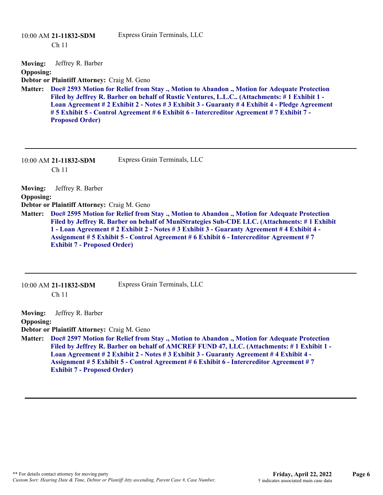|                  | $10:00$ AM 21-11832-SDM<br>Ch <sub>11</sub> | Express Grain Terminals, LLC                                                                                                                                                                                                                                                                                                                                                          |
|------------------|---------------------------------------------|---------------------------------------------------------------------------------------------------------------------------------------------------------------------------------------------------------------------------------------------------------------------------------------------------------------------------------------------------------------------------------------|
| <b>Moving:</b>   | Jeffrey R. Barber                           |                                                                                                                                                                                                                                                                                                                                                                                       |
| <b>Opposing:</b> |                                             |                                                                                                                                                                                                                                                                                                                                                                                       |
|                  | Debtor or Plaintiff Attorney: Craig M. Geno |                                                                                                                                                                                                                                                                                                                                                                                       |
| <b>Matter:</b>   | <b>Proposed Order)</b>                      | Doc# 2593 Motion for Relief from Stay., Motion to Abandon., Motion for Adequate Protection<br>Filed by Jeffrey R. Barber on behalf of Rustic Ventures, L.L.C (Attachments: #1 Exhibit 1 -<br>Loan Agreement # 2 Exhibit 2 - Notes # 3 Exhibit 3 - Guaranty # 4 Exhibit 4 - Pledge Agreement<br>#5 Exhibit 5 - Control Agreement #6 Exhibit 6 - Intercreditor Agreement #7 Exhibit 7 - |

| 10:00 AM 21-11832-SDM | Express Grain Terminals, LLC |
|-----------------------|------------------------------|
| -Ch 11                |                              |

**Moving:** Jeffrey R. Barber **Opposing: Debtor or Plaintiff Attorney:** Craig M. Geno **Doc# 2595 Motion for Relief from Stay ., Motion to Abandon ., Motion for Adequate Protection Matter: Filed by Jeffrey R. Barber on behalf of MuniStrategies Sub-CDE LLC. (Attachments: # 1 Exhibit 1 - Loan Agreement # 2 Exhibit 2 - Notes # 3 Exhibit 3 - Guaranty Agreement # 4 Exhibit 4 - Assignment # 5 Exhibit 5 - Control Agreement # 6 Exhibit 6 - Intercreditor Agreement # 7 Exhibit 7 - Proposed Order)**

| 10:00 AM 21-11832-SDM | Express Grain Terminals, LLC |
|-----------------------|------------------------------|
| Ch <sub>11</sub>      |                              |

**Moving:** Jeffrey R. Barber **Opposing: Debtor or Plaintiff Attorney:** Craig M. Geno **Doc# 2597 Motion for Relief from Stay ., Motion to Abandon ., Motion for Adequate Protection Matter: Filed by Jeffrey R. Barber on behalf of AMCREF FUND 47, LLC. (Attachments: # 1 Exhibit 1 - Loan Agreement # 2 Exhibit 2 - Notes # 3 Exhibit 3 - Guaranty Agreement # 4 Exhibit 4 - Assignment # 5 Exhibit 5 - Control Agreement # 6 Exhibit 6 - Intercreditor Agreement # 7 Exhibit 7 - Proposed Order)**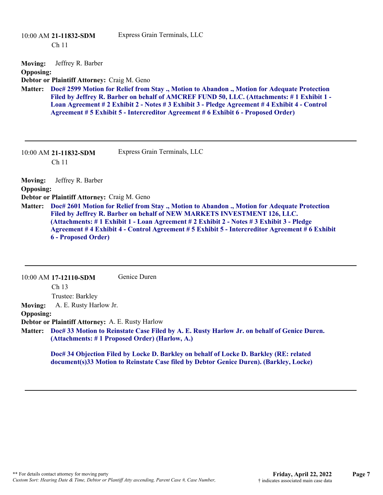|                                                      | 10:00 AM 21-11832-SDM<br>Ch <sub>11</sub>                                                      | Express Grain Terminals, LLC                                                                                                                                                                                                                                                                                                                                                  |
|------------------------------------------------------|------------------------------------------------------------------------------------------------|-------------------------------------------------------------------------------------------------------------------------------------------------------------------------------------------------------------------------------------------------------------------------------------------------------------------------------------------------------------------------------|
| <b>Moving:</b><br><b>Opposing:</b><br><b>Matter:</b> | Jeffrey R. Barber<br>Debtor or Plaintiff Attorney: Craig M. Geno                               | Doc# 2599 Motion for Relief from Stay., Motion to Abandon., Motion for Adequate Protection<br>Filed by Jeffrey R. Barber on behalf of AMCREF FUND 50, LLC. (Attachments: #1 Exhibit 1 -<br>Loan Agreement # 2 Exhibit 2 - Notes # 3 Exhibit 3 - Pledge Agreement # 4 Exhibit 4 - Control<br>Agreement # 5 Exhibit 5 - Intercreditor Agreement # 6 Exhibit 6 - Proposed Order) |
|                                                      | $10:00$ AM 21-11832-SDM<br>Ch <sub>11</sub>                                                    | Express Grain Terminals, LLC                                                                                                                                                                                                                                                                                                                                                  |
| <b>Moving:</b><br><b>Opposing:</b><br><b>Matter:</b> | Jeffrey R. Barber<br>Debtor or Plaintiff Attorney: Craig M. Geno<br><b>6 - Proposed Order)</b> | Doc# 2601 Motion for Relief from Stay., Motion to Abandon., Motion for Adequate Protection<br>Filed by Jeffrey R. Barber on behalf of NEW MARKETS INVESTMENT 126, LLC.<br>(Attachments: # 1 Exhibit 1 - Loan Agreement # 2 Exhibit 2 - Notes # 3 Exhibit 3 - Pledge<br>Agreement # 4 Exhibit 4 - Control Agreement # 5 Exhibit 5 - Intercreditor Agreement # 6 Exhibit        |

#### 10:00 AM **17-12110-SDM**  Genice Duren

Ch 13 Trustee: Barkley

**Moving:** A. E. Rusty Harlow Jr.

#### **Opposing:**

**Debtor or Plaintiff Attorney:** A. E. Rusty Harlow

**Doc# 33 Motion to Reinstate Case Filed by A. E. Rusty Harlow Jr. on behalf of Genice Duren. Matter: (Attachments: # 1 Proposed Order) (Harlow, A.)**

**Doc# 34 Objection Filed by Locke D. Barkley on behalf of Locke D. Barkley (RE: related document(s)33 Motion to Reinstate Case filed by Debtor Genice Duren). (Barkley, Locke)**